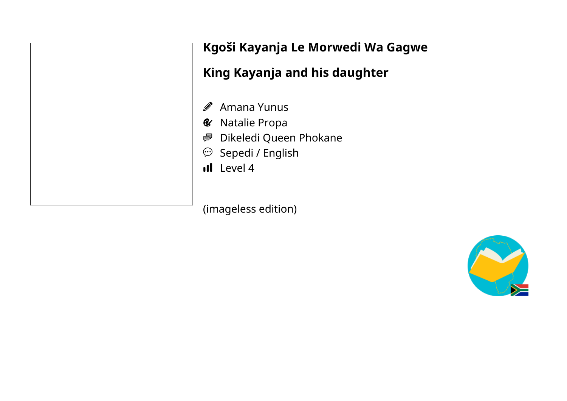| Kgoši Kayanja Le Morwedi Wa Gagwe<br>King Kayanja and his daughter                                                                                    |
|-------------------------------------------------------------------------------------------------------------------------------------------------------|
| Amana Yunus<br><b>Natalie Propa</b><br>$\mathbf{\mathcal{C}}$<br>● Dikeledi Queen Phokane<br>Sepedi / English<br>$\ket{\ddotsc}$<br><b>il</b> Level 4 |

(imageless edition)

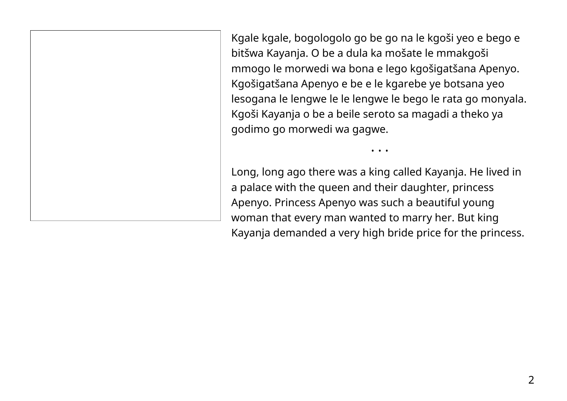Kgale kgale, bogologolo go be go na le kgoši yeo e bego e bitšwa Kayanja. O be a dula ka mošate le mmakgoši mmogo le morwedi wa bona e lego kgošigatšana Apenyo. Kgošigatšana Apenyo e be e le kgarebe ye botsana yeo lesogana le lengwe le le lengwe le bego le rata go monyala. Kgoši Kayanja o be a beile seroto sa magadi a theko ya godimo go morwedi wa gagwe.

Long, long ago there was a king called Kayanja. He lived in a palace with the queen and their daughter, princess Apenyo. Princess Apenyo was such a beautiful young woman that every man wanted to marry her. But king Kayanja demanded a very high bride price for the princess.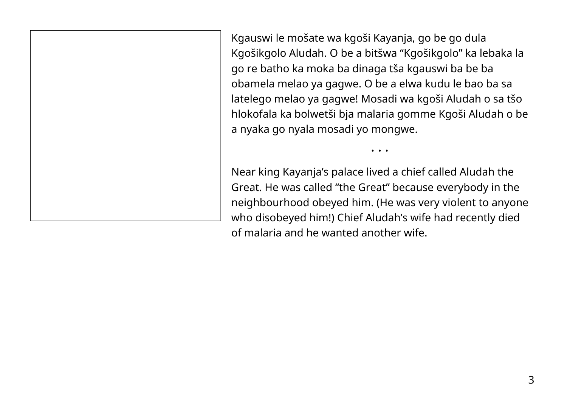Kgauswi le mošate wa kgoši Kayanja, go be go dula Kgošikgolo Aludah. O be a bitšwa "Kgošikgolo" ka lebaka la go re batho ka moka ba dinaga tša kgauswi ba be ba obamela melao ya gagwe. O be a elwa kudu le bao ba sa latelego melao ya gagwe! Mosadi wa kgoši Aludah o sa tšo hlokofala ka bolwetši bja malaria gomme Kgoši Aludah o be a nyaka go nyala mosadi yo mongwe.

Near king Kayanja's palace lived a chief called Aludah the Great. He was called "the Great" because everybody in the neighbourhood obeyed him. (He was very violent to anyone who disobeyed him!) Chief Aludah's wife had recently died of malaria and he wanted another wife.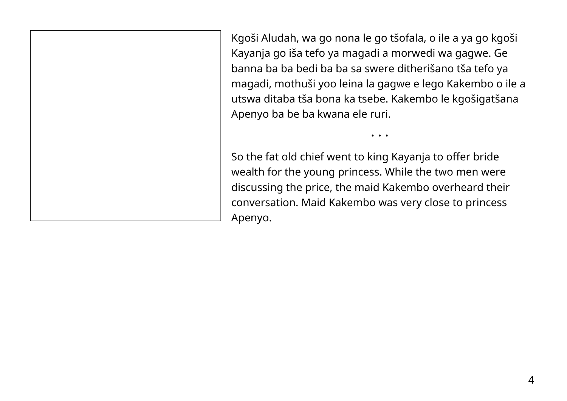Kgoši Aludah, wa go nona le go tšofala, o ile a ya go kgoši Kayanja go iša tefo ya magadi a morwedi wa gagwe. Ge banna ba ba bedi ba ba sa swere ditherišano tša tefo ya magadi, mothuši yoo leina la gagwe e lego Kakembo o ile a utswa ditaba tša bona ka tsebe. Kakembo le kgošigatšana Apenyo ba be ba kwana ele ruri.

• • •

So the fat old chief went to king Kayanja to offer bride wealth for the young princess. While the two men were discussing the price, the maid Kakembo overheard their conversation. Maid Kakembo was very close to princess Apenyo.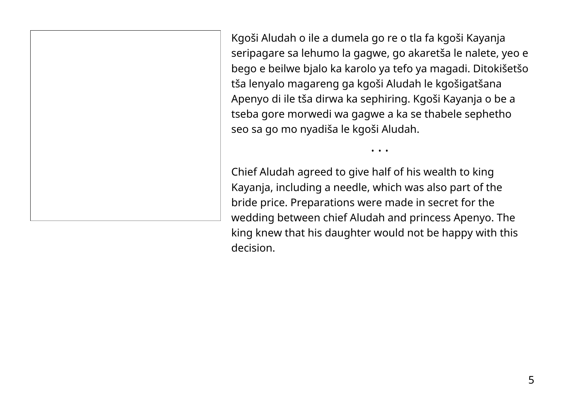Kgoši Aludah o ile a dumela go re o tla fa kgoši Kayanja seripagare sa lehumo la gagwe, go akaretša le nalete, yeo e bego e beilwe bjalo ka karolo ya tefo ya magadi. Ditokišetšo tša lenyalo magareng ga kgoši Aludah le kgošigatšana Apenyo di ile tša dirwa ka sephiring. Kgoši Kayanja o be a tseba gore morwedi wa gagwe a ka se thabele sephetho seo sa go mo nyadiša le kgoši Aludah.

• • •

Chief Aludah agreed to give half of his wealth to king Kayanja, including a needle, which was also part of the bride price. Preparations were made in secret for the wedding between chief Aludah and princess Apenyo. The king knew that his daughter would not be happy with this decision.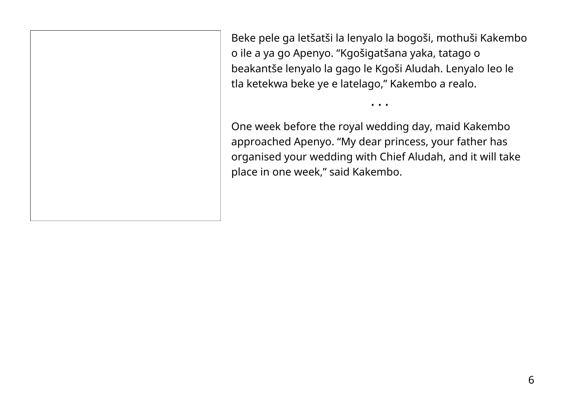Beke pele ga letšatši la lenyalo la bogoši, mothuši Kakembo o ile a ya go Apenyo. "Kgošigatšana yaka, tatago o beakantše lenyalo la gago le Kgoši Aludah. Lenyalo leo le tla ketekwa beke ye e latelago," Kakembo a realo.

• • •

One week before the royal wedding day, maid Kakembo approached Apenyo. "My dear princess, your father has organised your wedding with Chief Aludah, and it will take place in one week," said Kakembo.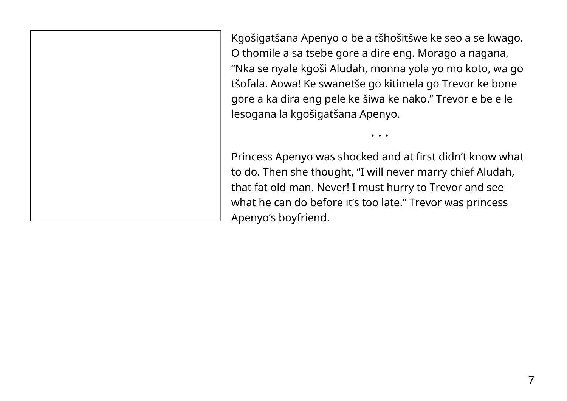Kgošigatšana Apenyo o be a tšhošitšwe ke seo a se kwago. O thomile a sa tsebe gore a dire eng. Morago a nagana, "Nka se nyale kgoši Aludah, monna yola yo mo koto, wa go tšofala. Aowa! Ke swanetše go kitimela go Trevor ke bone gore a ka dira eng pele ke šiwa ke nako." Trevor e be e le lesogana la kgošigatšana Apenyo.

Princess Apenyo was shocked and at first didn't know what to do. Then she thought, "I will never marry chief Aludah, that fat old man. Never! I must hurry to Trevor and see what he can do before it's too late." Trevor was princess Apenyo's boyfriend.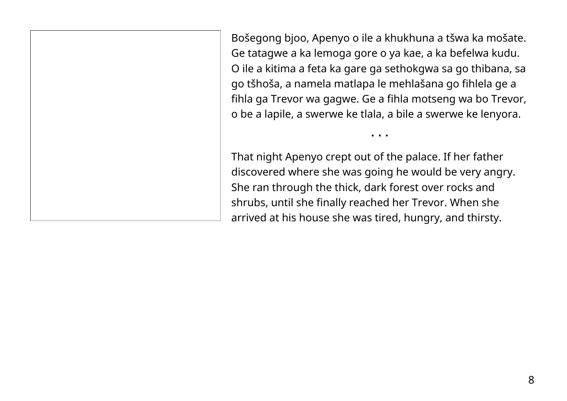Bošegong bjoo, Apenyo o ile a khukhuna a tšwa ka mošate. Ge tatagwe a ka lemoga gore o ya kae, a ka befelwa kudu. O ile a kitima a feta ka gare ga sethokgwa sa go thibana, sa go tšhoša, a namela matlapa le mehlašana go fihlela ge a fihla ga Trevor wa gagwe. Ge a fihla motseng wa bo Trevor, o be a lapile, a swerwe ke tlala, a bile a swerwe ke lenyora.

• • •

That night Apenyo crept out of the palace. If her father discovered where she was going he would be very angry. She ran through the thick, dark forest over rocks and shrubs, until she finally reached her Trevor. When she arrived at his house she was tired, hungry, and thirsty.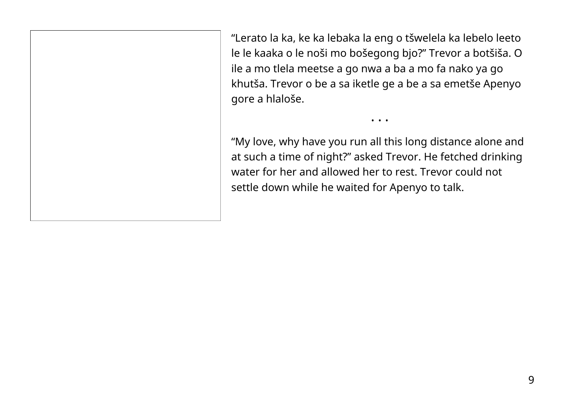"Lerato la ka, ke ka lebaka la eng o tšwelela ka lebelo leeto le le kaaka o le noši mo bošegong bjo?" Trevor a botšiša. O ile a mo tlela meetse a go nwa a ba a mo fa nako ya go khutša. Trevor o be a sa iketle ge a be a sa emetše Apenyo gore a hlaloše.

"My love, why have you run all this long distance alone and at such a time of night?" asked Trevor. He fetched drinking water for her and allowed her to rest. Trevor could not settle down while he waited for Apenyo to talk.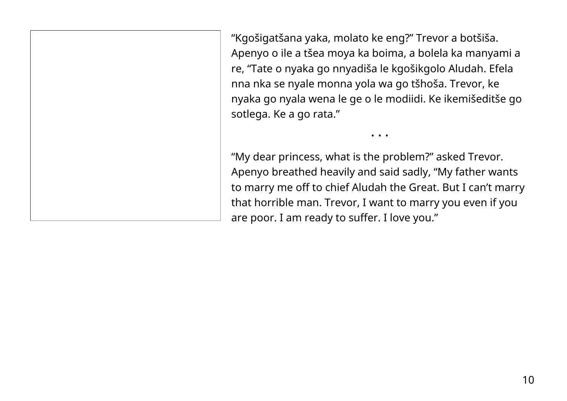"Kgošigatšana yaka, molato ke eng?" Trevor a botšiša. Apenyo o ile a tšea moya ka boima, a bolela ka manyami a re, "Tate o nyaka go nnyadiša le kgošikgolo Aludah. Efela nna nka se nyale monna yola wa go tšhoša. Trevor, ke nyaka go nyala wena le ge o le modiidi. Ke ikemišeditše go sotlega. Ke a go rata."

"My dear princess, what is the problem?" asked Trevor. Apenyo breathed heavily and said sadly, "My father wants to marry me off to chief Aludah the Great. But I can't marry that horrible man. Trevor, I want to marry you even if you are poor. I am ready to suffer. I love you."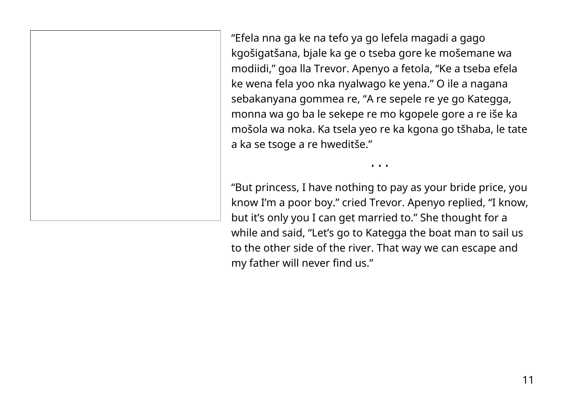"Efela nna ga ke na tefo ya go lefela magadi a gago kgošigatšana, bjale ka ge o tseba gore ke mošemane wa modiidi," goa lla Trevor. Apenyo a fetola, "Ke a tseba efela ke wena fela yoo nka nyalwago ke yena." O ile a nagana sebakanyana gommea re, "A re sepele re ye go Kategga, monna wa go ba le sekepe re mo kgopele gore a re iše ka mošola wa noka. Ka tsela yeo re ka kgona go tšhaba, le tate a ka se tsoge a re hweditše."

"But princess, I have nothing to pay as your bride price, you know I'm a poor boy." cried Trevor. Apenyo replied, "I know, but it's only you I can get married to." She thought for a while and said, "Let's go to Kategga the boat man to sail us to the other side of the river. That way we can escape and my father will never find us."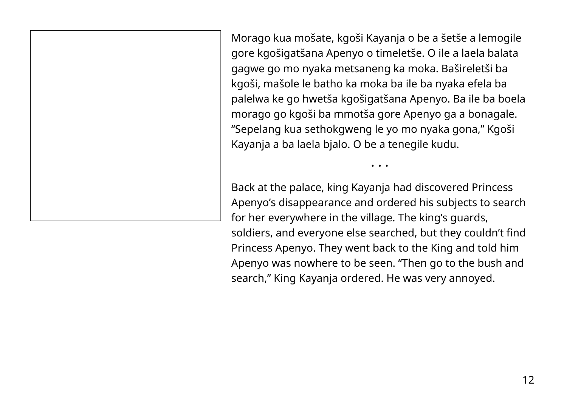Morago kua mošate, kgoši Kayanja o be a šetše a lemogile gore kgošigatšana Apenyo o timeletše. O ile a laela balata gagwe go mo nyaka metsaneng ka moka. Bašireletši ba kgoši, mašole le batho ka moka ba ile ba nyaka efela ba palelwa ke go hwetša kgošigatšana Apenyo. Ba ile ba boela morago go kgoši ba mmotša gore Apenyo ga a bonagale. "Sepelang kua sethokgweng le yo mo nyaka gona," Kgoši Kayanja a ba laela bjalo. O be a tenegile kudu.

Back at the palace, king Kayanja had discovered Princess Apenyo's disappearance and ordered his subjects to search for her everywhere in the village. The king's guards, soldiers, and everyone else searched, but they couldn't find Princess Apenyo. They went back to the King and told him Apenyo was nowhere to be seen. "Then go to the bush and search," King Kayanja ordered. He was very annoyed.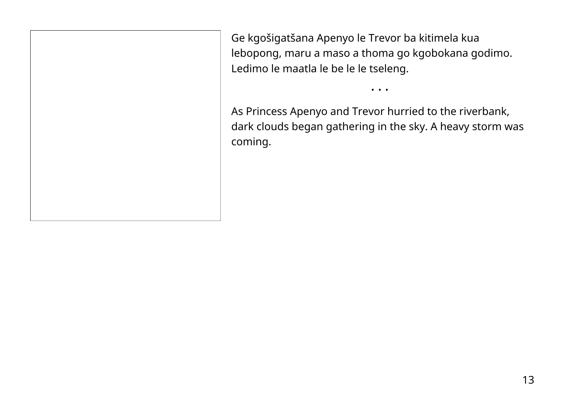Ge kgošigatšana Apenyo le Trevor ba kitimela kua lebopong, maru a maso a thoma go kgobokana godimo. Ledimo le maatla le be le le tseleng.

• • •

As Princess Apenyo and Trevor hurried to the riverbank, dark clouds began gathering in the sky. A heavy storm was coming.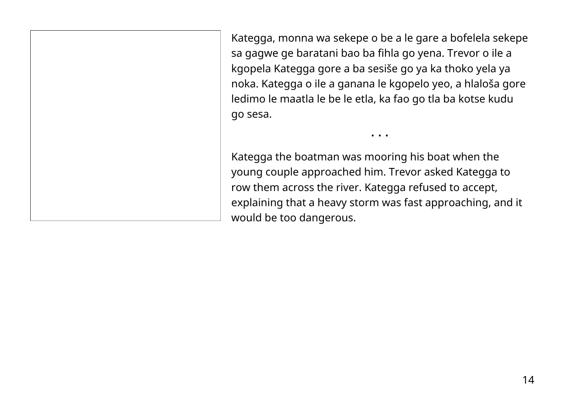Kategga, monna wa sekepe o be a le gare a bofelela sekepe sa gagwe ge baratani bao ba fihla go yena. Trevor o ile a kgopela Kategga gore a ba sesiše go ya ka thoko yela ya noka. Kategga o ile a ganana le kgopelo yeo, a hlaloša gore ledimo le maatla le be le etla, ka fao go tla ba kotse kudu go sesa.

Kategga the boatman was mooring his boat when the young couple approached him. Trevor asked Kategga to row them across the river. Kategga refused to accept, explaining that a heavy storm was fast approaching, and it would be too dangerous.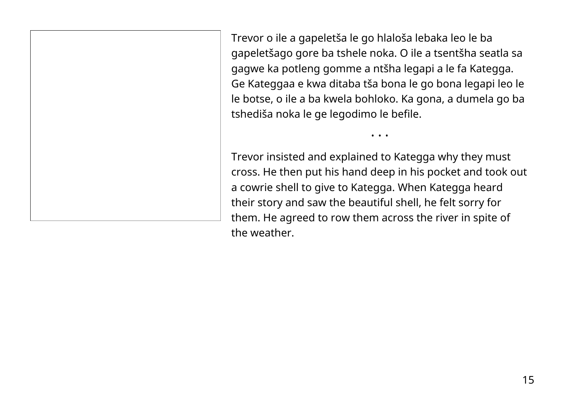Trevor o ile a gapeletša le go hlaloša lebaka leo le ba gapeletšago gore ba tshele noka. O ile a tsentšha seatla sa gagwe ka potleng gomme a ntšha legapi a le fa Kategga. Ge Kateggaa e kwa ditaba tša bona le go bona legapi leo le le botse, o ile a ba kwela bohloko. Ka gona, a dumela go ba tshediša noka le ge legodimo le befile.

• • •

Trevor insisted and explained to Kategga why they must cross. He then put his hand deep in his pocket and took out a cowrie shell to give to Kategga. When Kategga heard their story and saw the beautiful shell, he felt sorry for them. He agreed to row them across the river in spite of the weather.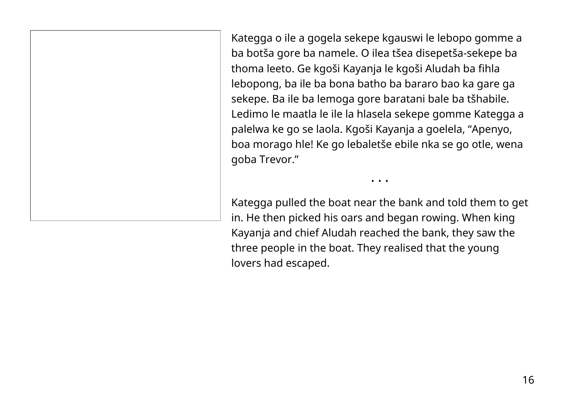Kategga o ile a gogela sekepe kgauswi le lebopo gomme a ba botša gore ba namele. O ilea tšea disepetša-sekepe ba thoma leeto. Ge kgoši Kayanja le kgoši Aludah ba fihla lebopong, ba ile ba bona batho ba bararo bao ka gare ga sekepe. Ba ile ba lemoga gore baratani bale ba tšhabile. Ledimo le maatla le ile la hlasela sekepe gomme Kategga a palelwa ke go se laola. Kgoši Kayanja a goelela, "Apenyo, boa morago hle! Ke go lebaletše ebile nka se go otle, wena goba Trevor."

Kategga pulled the boat near the bank and told them to get in. He then picked his oars and began rowing. When king Kayanja and chief Aludah reached the bank, they saw the three people in the boat. They realised that the young lovers had escaped.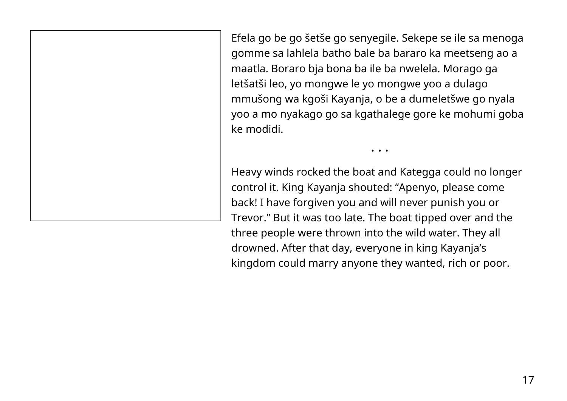Efela go be go šetše go senyegile. Sekepe se ile sa menoga gomme sa lahlela batho bale ba bararo ka meetseng ao a maatla. Boraro bja bona ba ile ba nwelela. Morago ga letšatši leo, yo mongwe le yo mongwe yoo a dulago mmušong wa kgoši Kayanja, o be a dumeletšwe go nyala yoo a mo nyakago go sa kgathalege gore ke mohumi goba ke modidi.

• • •

Heavy winds rocked the boat and Kategga could no longer control it. King Kayanja shouted: "Apenyo, please come back! I have forgiven you and will never punish you or Trevor." But it was too late. The boat tipped over and the three people were thrown into the wild water. They all drowned. After that day, everyone in king Kayanja's kingdom could marry anyone they wanted, rich or poor.